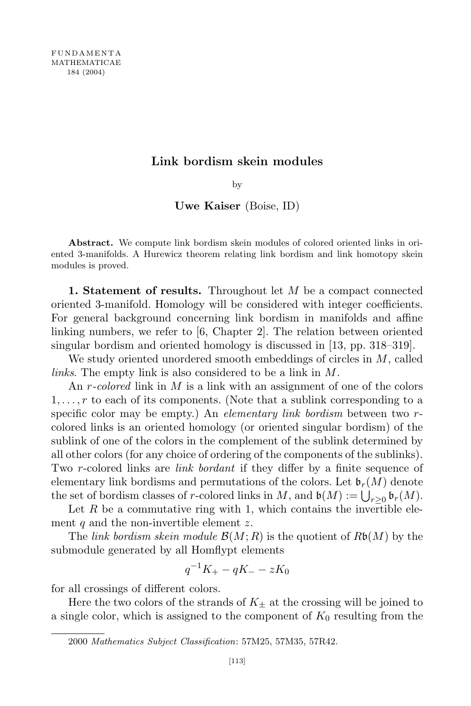## Link bordism skein modules

by

Uwe Kaiser (Boise, ID)

Abstract. We compute link bordism skein modules of colored oriented links in oriented 3-manifolds. A Hurewicz theorem relating link bordism and link homotopy skein modules is proved.

1. Statement of results. Throughout let  $M$  be a compact connected oriented 3-manifold. Homology will be considered with integer coefficients. For general background concerning link bordism in manifolds and affine linking numbers, we refer to [6, Chapter 2]. The relation between oriented singular bordism and oriented homology is discussed in [13, pp. 318–319].

We study oriented unordered smooth embeddings of circles in M, called links. The empty link is also considered to be a link in M.

An r-colored link in  $M$  is a link with an assignment of one of the colors  $1, \ldots, r$  to each of its components. (Note that a sublink corresponding to a specific color may be empty.) An elementary link bordism between two rcolored links is an oriented homology (or oriented singular bordism) of the sublink of one of the colors in the complement of the sublink determined by all other colors (for any choice of ordering of the components of the sublinks). Two r-colored links are *link bordant* if they differ by a finite sequence of elementary link bordisms and permutations of the colors. Let  $\mathfrak{b}_r(M)$  denote the set of bordism classes of r-colored links in M, and  $\mathfrak{b}(M) := \bigcup_{r \geq 0} \mathfrak{b}_r(M)$ .

Let  $R$  be a commutative ring with 1, which contains the invertible element  $q$  and the non-invertible element  $z$ .

The link bordism skein module  $\mathcal{B}(M;R)$  is the quotient of  $R\mathfrak{b}(M)$  by the submodule generated by all Homflypt elements

$$
q^{-1}K_{+} - qK_{-} - zK_{0}
$$

for all crossings of different colors.

Here the two colors of the strands of  $K_{+}$  at the crossing will be joined to a single color, which is assigned to the component of  $K_0$  resulting from the

<sup>2000</sup> Mathematics Subject Classification: 57M25, 57M35, 57R42.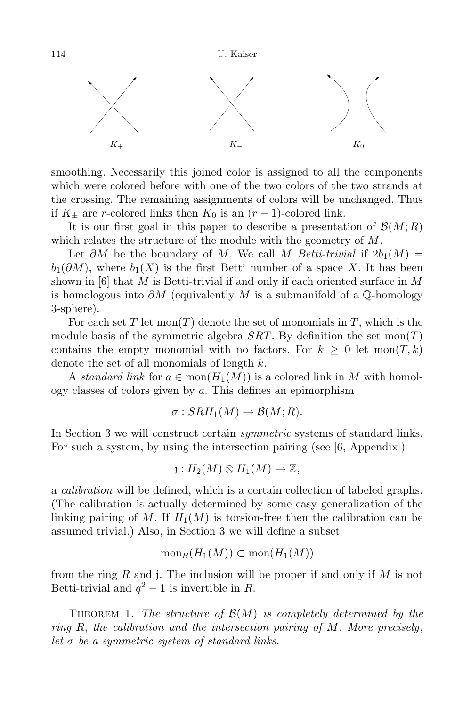114 U. Kaiser



smoothing. Necessarily this joined color is assigned to all the components which were colored before with one of the two colors of the two strands at the crossing. The remaining assignments of colors will be unchanged. Thus if  $K_{\pm}$  are r-colored links then  $K_0$  is an  $(r-1)$ -colored link.

It is our first goal in this paper to describe a presentation of  $\mathcal{B}(M;R)$ which relates the structure of the module with the geometry of M.

Let  $\partial M$  be the boundary of M. We call M Betti-trivial if  $2b_1(M) =$  $b_1(\partial M)$ , where  $b_1(X)$  is the first Betti number of a space X. It has been shown in  $[6]$  that M is Betti-trivial if and only if each oriented surface in M is homologous into  $\partial M$  (equivalently M is a submanifold of a Q-homology 3-sphere).

For each set T let  $mon(T)$  denote the set of monomials in T, which is the module basis of the symmetric algebra  $SRT$ . By definition the set mon $(T)$ contains the empty monomial with no factors. For  $k \geq 0$  let  $\text{mon}(T, k)$ denote the set of all monomials of length  $k$ .

A standard link for  $a \in \text{mon}(H_1(M))$  is a colored link in M with homology classes of colors given by a. This defines an epimorphism

$$
\sigma: SRH_1(M) \to \mathcal{B}(M;R).
$$

In Section 3 we will construct certain symmetric systems of standard links. For such a system, by using the intersection pairing (see  $[6,$  Appendix))

$$
j: H_2(M) \otimes H_1(M) \to \mathbb{Z},
$$

a calibration will be defined, which is a certain collection of labeled graphs. (The calibration is actually determined by some easy generalization of the linking pairing of M. If  $H_1(M)$  is torsion-free then the calibration can be assumed trivial.) Also, in Section 3 we will define a subset

$$
\text{mon}_R(H_1(M)) \subset \text{mon}(H_1(M))
$$

from the ring R and j. The inclusion will be proper if and only if  $M$  is not Betti-trivial and  $q^2 - 1$  is invertible in R.

THEOREM 1. The structure of  $\mathcal{B}(M)$  is completely determined by the ring R, the calibration and the intersection pairing of M. More precisely, let  $\sigma$  be a symmetric system of standard links.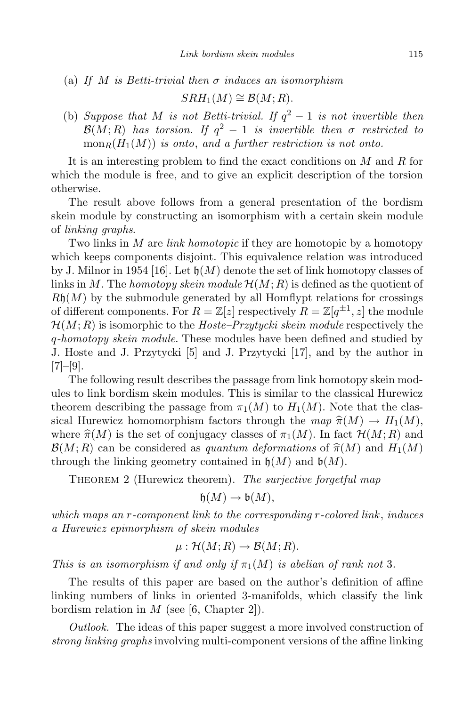(a) If M is Betti-trivial then  $\sigma$  induces an isomorphism

 $SRH_1(M) \cong \mathcal{B}(M;R)$ .

(b) Suppose that M is not Betti-trivial. If  $q^2 - 1$  is not invertible then  $\mathcal{B}(M;R)$  has torsion. If  $q^2-1$  is invertible then  $\sigma$  restricted to  $\text{mon}_R(H_1(M))$  is onto, and a further restriction is not onto.

It is an interesting problem to find the exact conditions on M and R for which the module is free, and to give an explicit description of the torsion otherwise.

The result above follows from a general presentation of the bordism skein module by constructing an isomorphism with a certain skein module of linking graphs.

Two links in M are *link homotopic* if they are homotopic by a homotopy which keeps components disjoint. This equivalence relation was introduced by J. Milnor in 1954 [16]. Let  $\mathfrak{h}(M)$  denote the set of link homotopy classes of links in M. The homotopy skein module  $\mathcal{H}(M;R)$  is defined as the quotient of  $R\mathfrak{h}(M)$  by the submodule generated by all Homflypt relations for crossings of different components. For  $R = \mathbb{Z}[z]$  respectively  $R = \mathbb{Z}[q^{\pm 1}, z]$  the module  $\mathcal{H}(M;R)$  is isomorphic to the *Hoste–Przytycki skein module* respectively the q-homotopy skein module. These modules have been defined and studied by J. Hoste and J. Przytycki [5] and J. Przytycki [17], and by the author in  $[7]$ – $[9]$ .

The following result describes the passage from link homotopy skein modules to link bordism skein modules. This is similar to the classical Hurewicz theorem describing the passage from  $\pi_1(M)$  to  $H_1(M)$ . Note that the classical Hurewicz homomorphism factors through the map  $\hat{\pi}(M) \to H_1(M)$ , where  $\hat{\pi}(M)$  is the set of conjugacy classes of  $\pi_1(M)$ . In fact  $\mathcal{H}(M; R)$  and  $\mathcal{B}(M;R)$  can be considered as quantum deformations of  $\hat{\pi}(M)$  and  $H_1(M)$ through the linking geometry contained in  $\mathfrak{h}(M)$  and  $\mathfrak{b}(M)$ .

THEOREM 2 (Hurewicz theorem). The surjective forgetful map

$$
\mathfrak{h}(M)\to\mathfrak{b}(M),
$$

which maps an r-component link to the corresponding r-colored link, induces a Hurewicz epimorphism of skein modules

$$
\mu: \mathcal{H}(M;R) \to \mathcal{B}(M;R).
$$

This is an isomorphism if and only if  $\pi_1(M)$  is abelian of rank not 3.

The results of this paper are based on the author's definition of affine linking numbers of links in oriented 3-manifolds, which classify the link bordism relation in  $M$  (see [6, Chapter 2]).

Outlook. The ideas of this paper suggest a more involved construction of strong linking graphs involving multi-component versions of the affine linking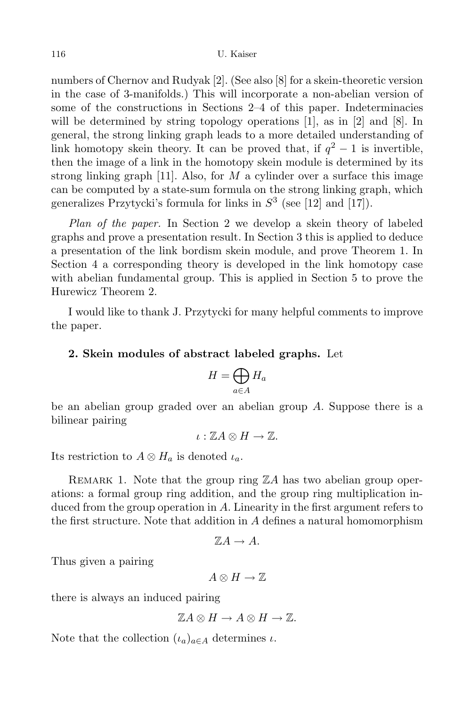numbers of Chernov and Rudyak [2]. (See also [8] for a skein-theoretic version in the case of 3-manifolds.) This will incorporate a non-abelian version of some of the constructions in Sections 2–4 of this paper. Indeterminacies will be determined by string topology operations [1], as in [2] and [8]. In general, the strong linking graph leads to a more detailed understanding of link homotopy skein theory. It can be proved that, if  $q^2 - 1$  is invertible, then the image of a link in the homotopy skein module is determined by its strong linking graph [11]. Also, for  $M$  a cylinder over a surface this image can be computed by a state-sum formula on the strong linking graph, which generalizes Przytycki's formula for links in  $S<sup>3</sup>$  (see [12] and [17]).

Plan of the paper. In Section 2 we develop a skein theory of labeled graphs and prove a presentation result. In Section 3 this is applied to deduce a presentation of the link bordism skein module, and prove Theorem 1. In Section 4 a corresponding theory is developed in the link homotopy case with abelian fundamental group. This is applied in Section 5 to prove the Hurewicz Theorem 2.

I would like to thank J. Przytycki for many helpful comments to improve the paper.

## 2. Skein modules of abstract labeled graphs. Let

$$
H = \bigoplus_{a \in A} H_a
$$

be an abelian group graded over an abelian group A. Suppose there is a bilinear pairing

$$
\iota:\mathbb{Z} A\otimes H\to\mathbb{Z}.
$$

Its restriction to  $A \otimes H_a$  is denoted  $\iota_a$ .

REMARK 1. Note that the group ring  $\mathbb{Z}A$  has two abelian group operations: a formal group ring addition, and the group ring multiplication induced from the group operation in A. Linearity in the first argument refers to the first structure. Note that addition in A defines a natural homomorphism

$$
\mathbb{Z}A\to A.
$$

Thus given a pairing

$$
A\otimes H\to\mathbb{Z}
$$

there is always an induced pairing

$$
\mathbb{Z} A \otimes H \to A \otimes H \to \mathbb{Z}.
$$

Note that the collection  $(\iota_a)_{a \in A}$  determines  $\iota$ .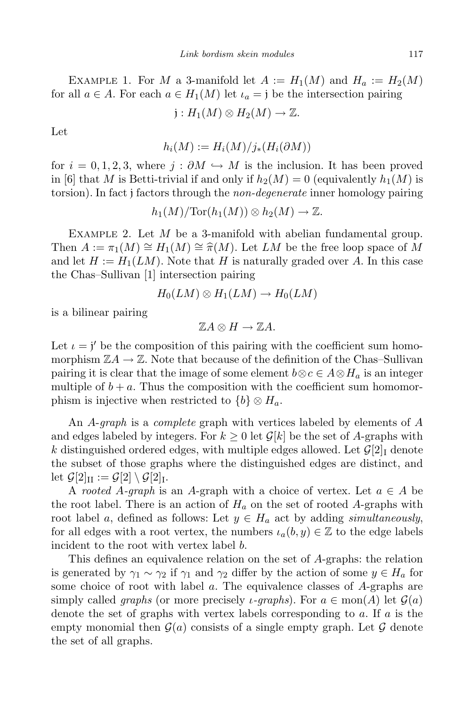EXAMPLE 1. For M a 3-manifold let  $A := H_1(M)$  and  $H_a := H_2(M)$ for all  $a \in A$ . For each  $a \in H_1(M)$  let  $\iota_a = \iota$  be the intersection pairing

$$
j: H_1(M) \otimes H_2(M) \to \mathbb{Z}.
$$

Let

$$
h_i(M) := H_i(M)/j_*(H_i(\partial M))
$$

for  $i = 0, 1, 2, 3$ , where  $j : \partial M \hookrightarrow M$  is the inclusion. It has been proved in [6] that M is Betti-trivial if and only if  $h_2(M) = 0$  (equivalently  $h_1(M)$  is torsion). In fact j factors through the *non-degenerate* inner homology pairing

$$
h_1(M)/\text{Tor}(h_1(M))\otimes h_2(M)\to \mathbb{Z}.
$$

EXAMPLE 2. Let  $M$  be a 3-manifold with abelian fundamental group. Then  $A := \pi_1(M) \cong H_1(M) \cong \hat{\pi}(M)$ . Let LM be the free loop space of M and let  $H := H_1(LM)$ . Note that H is naturally graded over A. In this case the Chas–Sullivan [1] intersection pairing

$$
H_0(LM)\otimes H_1(LM)\to H_0(LM)
$$

is a bilinear pairing

 $\mathbb{Z} A \otimes H \to \mathbb{Z} A$ .

Let  $\iota = \iota'$  be the composition of this pairing with the coefficient sum homomorphism  $\mathbb{Z}A \to \mathbb{Z}$ . Note that because of the definition of the Chas–Sullivan pairing it is clear that the image of some element  $b \otimes c \in A \otimes H_a$  is an integer multiple of  $b + a$ . Thus the composition with the coefficient sum homomorphism is injective when restricted to  $\{b\} \otimes H_a$ .

An A-*graph* is a *complete* graph with vertices labeled by elements of A and edges labeled by integers. For  $k \geq 0$  let  $\mathcal{G}[k]$  be the set of A-graphs with k distinguished ordered edges, with multiple edges allowed. Let  $\mathcal{G}[2]$ <sub>I</sub> denote the subset of those graphs where the distinguished edges are distinct, and let  $\mathcal{G}[2]_{\text{II}} := \mathcal{G}[2] \setminus \mathcal{G}[2]_{\text{I}}$ .

A rooted A-graph is an A-graph with a choice of vertex. Let  $a \in A$  be the root label. There is an action of  $H_a$  on the set of rooted A-graphs with root label a, defined as follows: Let  $y \in H_a$  act by adding simultaneously, for all edges with a root vertex, the numbers  $\iota_a(b, y) \in \mathbb{Z}$  to the edge labels incident to the root with vertex label b.

This defines an equivalence relation on the set of A-graphs: the relation is generated by  $\gamma_1 \sim \gamma_2$  if  $\gamma_1$  and  $\gamma_2$  differ by the action of some  $y \in H_a$  for some choice of root with label a. The equivalence classes of A-graphs are simply called *graphs* (or more precisely *ι*-graphs). For  $a \in \text{mon}(A)$  let  $\mathcal{G}(a)$ denote the set of graphs with vertex labels corresponding to  $a$ . If  $a$  is the empty monomial then  $\mathcal{G}(a)$  consists of a single empty graph. Let  $\mathcal G$  denote the set of all graphs.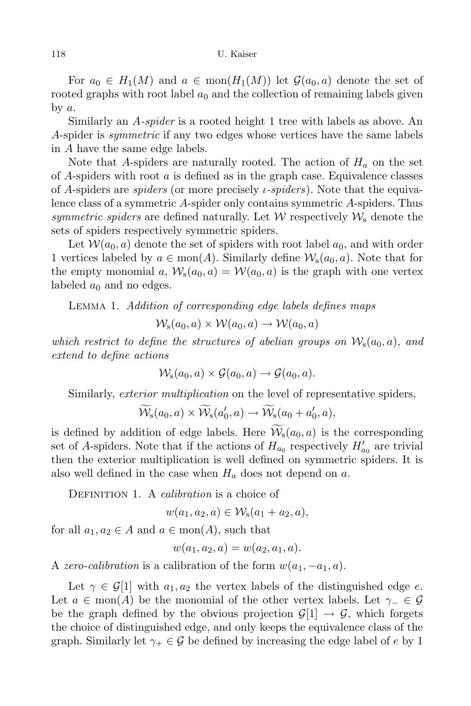For  $a_0 \in H_1(M)$  and  $a \in \text{mon}(H_1(M))$  let  $\mathcal{G}(a_0, a)$  denote the set of rooted graphs with root label  $a_0$  and the collection of remaining labels given by  $a$ .

Similarly an A-spider is a rooted height 1 tree with labels as above. An A-spider is symmetric if any two edges whose vertices have the same labels in A have the same edge labels.

Note that A-spiders are naturally rooted. The action of  $H_a$  on the set of A-spiders with root  $\alpha$  is defined as in the graph case. Equivalence classes of A-spiders are *spiders* (or more precisely *i-spiders*). Note that the equivalence class of a symmetric A-spider only contains symmetric A-spiders. Thus symmetric spiders are defined naturally. Let  $W$  respectively  $W_s$  denote the sets of spiders respectively symmetric spiders.

Let  $W(a_0, a)$  denote the set of spiders with root label  $a_0$ , and with order 1 vertices labeled by  $a \in \text{mon}(A)$ . Similarly define  $\mathcal{W}_s(a_0, a)$ . Note that for the empty monomial a,  $W_s(a_0, a) = W(a_0, a)$  is the graph with one vertex labeled  $a_0$  and no edges.

Lemma 1. Addition of corresponding edge labels defines maps

 $W_s(a_0, a) \times W(a_0, a) \rightarrow W(a_0, a)$ 

which restrict to define the structures of abelian groups on  $\mathcal{W}_s(a_0, a)$ , and extend to define actions

 $W_s(a_0, a) \times \mathcal{G}(a_0, a) \rightarrow \mathcal{G}(a_0, a).$ 

Similarly, *exterior multiplication* on the level of representative spiders,

$$
\widetilde{\mathcal{W}}_{\rm s}(a_0,a) \times \widetilde{\mathcal{W}}_{\rm s}(a'_0,a) \rightarrow \widetilde{\mathcal{W}}_{\rm s}(a_0+a'_0,a),
$$

is defined by addition of edge labels. Here  $W<sub>s</sub>(a<sub>0</sub>, a)$  is the corresponding set of A-spiders. Note that if the actions of  $H_{a_0}$  respectively  $H'_{a_0}$  are trivial then the exterior multiplication is well defined on symmetric spiders. It is also well defined in the case when  $H_a$  does not depend on a.

DEFINITION 1. A *calibration* is a choice of

$$
w(a_1, a_2, a) \in W_8(a_1 + a_2, a),
$$

for all  $a_1, a_2 \in A$  and  $a \in \text{mon}(A)$ , such that

$$
w(a_1, a_2, a) = w(a_2, a_1, a).
$$

A zero-calibration is a calibration of the form  $w(a_1, -a_1, a)$ .

Let  $\gamma \in \mathcal{G}[1]$  with  $a_1, a_2$  the vertex labels of the distinguished edge e. Let  $a \in \text{mon}(A)$  be the monomial of the other vertex labels. Let  $\gamma_-\in\mathcal{G}$ be the graph defined by the obvious projection  $\mathcal{G}[1] \to \mathcal{G}$ , which forgets the choice of distinguished edge, and only keeps the equivalence class of the graph. Similarly let  $\gamma_+ \in \mathcal{G}$  be defined by increasing the edge label of e by 1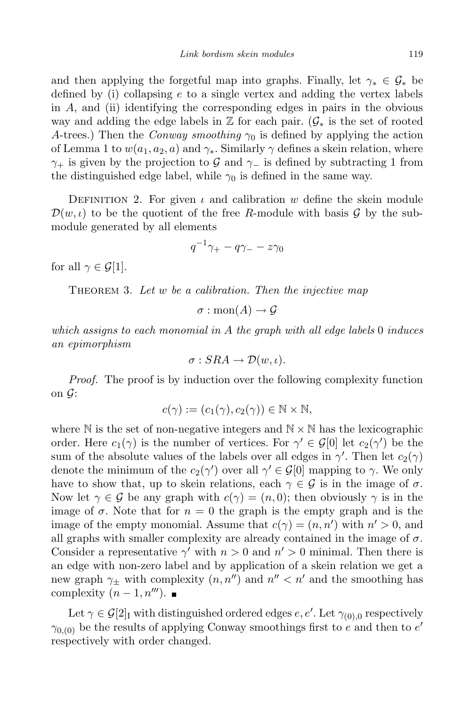and then applying the forgetful map into graphs. Finally, let  $\gamma_* \in \mathcal{G}_*$  be defined by (i) collapsing e to a single vertex and adding the vertex labels in A, and (ii) identifying the corresponding edges in pairs in the obvious way and adding the edge labels in  $\mathbb Z$  for each pair.  $(\mathcal G_*)$  is the set of rooted A-trees.) Then the *Conway smoothing*  $\gamma_0$  is defined by applying the action of Lemma 1 to  $w(a_1, a_2, a)$  and  $\gamma_*$ . Similarly  $\gamma$  defines a skein relation, where  $\gamma_+$  is given by the projection to G and  $\gamma_-$  is defined by subtracting 1 from the distinguished edge label, while  $\gamma_0$  is defined in the same way.

DEFINITION 2. For given  $\iota$  and calibration w define the skein module  $\mathcal{D}(w,\iota)$  to be the quotient of the free R-module with basis G by the submodule generated by all elements

$$
q^{-1}\gamma_+ - q\gamma_- - z\gamma_0
$$

for all  $\gamma \in \mathcal{G}[1]$ .

THEOREM 3. Let  $w$  be a calibration. Then the injective map

$$
\sigma: \text{mon}(A) \to \mathcal{G}
$$

which assigns to each monomial in A the graph with all edge labels  $0$  induces an epimorphism

$$
\sigma: SRA \to \mathcal{D}(w,\iota).
$$

Proof. The proof is by induction over the following complexity function on  $\mathcal{G}$ :

$$
c(\gamma) := (c_1(\gamma), c_2(\gamma)) \in \mathbb{N} \times \mathbb{N},
$$

where  $\mathbb N$  is the set of non-negative integers and  $\mathbb N \times \mathbb N$  has the lexicographic order. Here  $c_1(\gamma)$  is the number of vertices. For  $\gamma' \in \mathcal{G}[0]$  let  $c_2(\gamma')$  be the sum of the absolute values of the labels over all edges in  $\gamma'$ . Then let  $c_2(\gamma)$ denote the minimum of the  $c_2(\gamma')$  over all  $\gamma' \in \mathcal{G}[0]$  mapping to  $\gamma$ . We only have to show that, up to skein relations, each  $\gamma \in \mathcal{G}$  is in the image of  $\sigma$ . Now let  $\gamma \in \mathcal{G}$  be any graph with  $c(\gamma) = (n, 0)$ ; then obviously  $\gamma$  is in the image of  $\sigma$ . Note that for  $n = 0$  the graph is the empty graph and is the image of the empty monomial. Assume that  $c(\gamma) = (n, n')$  with  $n' > 0$ , and all graphs with smaller complexity are already contained in the image of  $\sigma$ . Consider a representative  $\gamma'$  with  $n > 0$  and  $n' > 0$  minimal. Then there is an edge with non-zero label and by application of a skein relation we get a new graph  $\gamma_{\pm}$  with complexity  $(n, n'')$  and  $n'' < n'$  and the smoothing has complexity  $(n-1, n^{\prime\prime\prime}).$ 

Let  $\gamma \in \mathcal{G}[2]$ <sub>I</sub> with distinguished ordered edges  $e, e'.$  Let  $\gamma_{(0),0}$  respectively  $\gamma_{0,(0)}$  be the results of applying Conway smoothings first to e and then to e' respectively with order changed.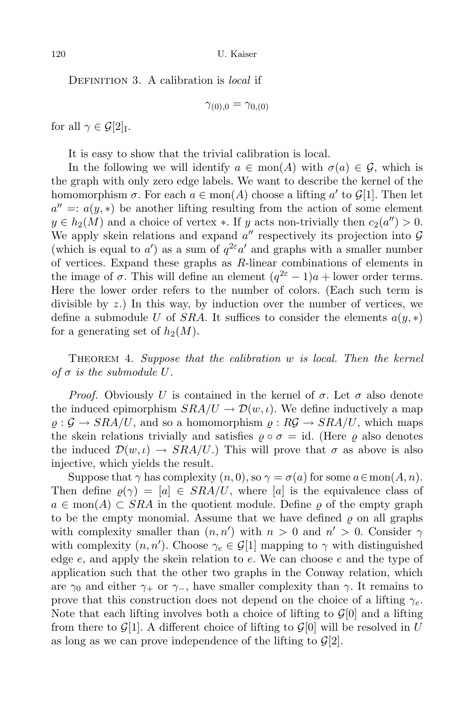DEFINITION 3. A calibration is *local* if

$$
\gamma_{(0),0}=\gamma_{0,(0)}
$$

for all  $\gamma \in \mathcal{G}[2]_I$ .

It is easy to show that the trivial calibration is local.

In the following we will identify  $a \in \text{mon}(A)$  with  $\sigma(a) \in \mathcal{G}$ , which is the graph with only zero edge labels. We want to describe the kernel of the homomorphism  $\sigma$ . For each  $a \in \text{mon}(A)$  choose a lifting  $a'$  to  $\mathcal{G}[1]$ . Then let  $a'' = a(y, *)$  be another lifting resulting from the action of some element  $y \in h_2(M)$  and a choice of vertex \*. If y acts non-trivially then  $c_2(a'') > 0$ . We apply skein relations and expand  $a''$  respectively its projection into  $G$ (which is equal to a') as a sum of  $q^{2\varepsilon} a'$  and graphs with a smaller number of vertices. Expand these graphs as R-linear combinations of elements in the image of  $\sigma$ . This will define an element  $(q^{2\varepsilon}-1)a +$  lower order terms. Here the lower order refers to the number of colors. (Each such term is divisible by z.) In this way, by induction over the number of vertices, we define a submodule U of SRA. It suffices to consider the elements  $a(y, *)$ for a generating set of  $h_2(M)$ .

THEOREM 4. Suppose that the calibration w is local. Then the kernel of  $\sigma$  is the submodule U.

*Proof.* Obviously U is contained in the kernel of  $\sigma$ . Let  $\sigma$  also denote the induced epimorphism  $SRA/U \rightarrow \mathcal{D}(w, \iota)$ . We define inductively a map  $\rho: \mathcal{G} \to \text{SRA}/U$ , and so a homomorphism  $\rho: \mathcal{RG} \to \text{SRA}/U$ , which maps the skein relations trivially and satisfies  $\rho \circ \sigma = id$ . (Here  $\rho$  also denotes the induced  $\mathcal{D}(w,\iota) \to \text{SRA}/U$ .) This will prove that  $\sigma$  as above is also injective, which yields the result.

Suppose that  $\gamma$  has complexity  $(n, 0)$ , so  $\gamma = \sigma(a)$  for some  $a \in \text{mon}(A, n)$ . Then define  $\rho(\gamma) = [a] \in SRA/U$ , where [a] is the equivalence class of  $a \in \text{mon}(A) \subset SRA$  in the quotient module. Define  $\varrho$  of the empty graph to be the empty monomial. Assume that we have defined  $\rho$  on all graphs with complexity smaller than  $(n, n')$  with  $n > 0$  and  $n' > 0$ . Consider  $\gamma$ with complexity  $(n, n')$ . Choose  $\gamma_e \in \mathcal{G}[1]$  mapping to  $\gamma$  with distinguished edge  $e$ , and apply the skein relation to  $e$ . We can choose  $e$  and the type of application such that the other two graphs in the Conway relation, which are  $\gamma_0$  and either  $\gamma_+$  or  $\gamma_-,$  have smaller complexity than  $\gamma$ . It remains to prove that this construction does not depend on the choice of a lifting  $\gamma_e$ . Note that each lifting involves both a choice of lifting to  $\mathcal{G}[0]$  and a lifting from there to  $\mathcal{G}[1]$ . A different choice of lifting to  $\mathcal{G}[0]$  will be resolved in U as long as we can prove independence of the lifting to  $\mathcal{G}[2]$ .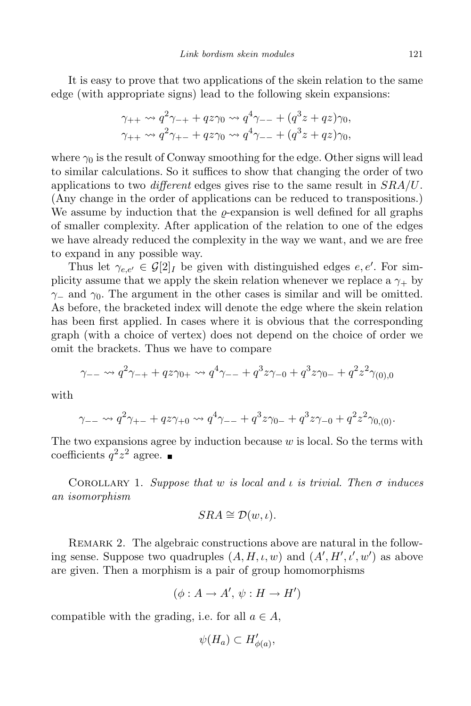It is easy to prove that two applications of the skein relation to the same edge (with appropriate signs) lead to the following skein expansions:

$$
\gamma_{++} \rightsquigarrow q^2 \gamma_{-+} + q z \gamma_0 \rightsquigarrow q^4 \gamma_{--} + (q^3 z + q z) \gamma_0,
$$
  

$$
\gamma_{++} \rightsquigarrow q^2 \gamma_{+-} + q z \gamma_0 \rightsquigarrow q^4 \gamma_{--} + (q^3 z + q z) \gamma_0,
$$

where  $\gamma_0$  is the result of Conway smoothing for the edge. Other signs will lead to similar calculations. So it suffices to show that changing the order of two applications to two *different* edges gives rise to the same result in  $SRA/U$ . (Any change in the order of applications can be reduced to transpositions.) We assume by induction that the  $\rho$ -expansion is well defined for all graphs of smaller complexity. After application of the relation to one of the edges we have already reduced the complexity in the way we want, and we are free to expand in any possible way.

Thus let  $\gamma_{e,e'} \in \mathcal{G}[2]$  be given with distinguished edges  $e, e'$ . For simplicity assume that we apply the skein relation whenever we replace a  $\gamma_+$  by  $\gamma$ − and  $\gamma_0$ . The argument in the other cases is similar and will be omitted. As before, the bracketed index will denote the edge where the skein relation has been first applied. In cases where it is obvious that the corresponding graph (with a choice of vertex) does not depend on the choice of order we omit the brackets. Thus we have to compare

$$
\gamma_{--} \rightsquigarrow q^2 \gamma_{-+} + q z \gamma_{0+} \rightsquigarrow q^4 \gamma_{--} + q^3 z \gamma_{-0} + q^3 z \gamma_{0-} + q^2 z^2 \gamma_{(0),0}
$$

with

$$
\gamma_{--} \rightsquigarrow q^2 \gamma_{+-} + q z \gamma_{+0} \rightsquigarrow q^4 \gamma_{--} + q^3 z \gamma_{0-} + q^3 z \gamma_{-0} + q^2 z^2 \gamma_{0,(0)}.
$$

The two expansions agree by induction because  $w$  is local. So the terms with coefficients  $q^2z^2$  agree.

COROLLARY 1. Suppose that w is local and  $\iota$  is trivial. Then  $\sigma$  induces an isomorphism

$$
SRA \cong \mathcal{D}(w,\iota).
$$

REMARK 2. The algebraic constructions above are natural in the following sense. Suppose two quadruples  $(A, H, \iota, w)$  and  $(A', H', \iota', w')$  as above are given. Then a morphism is a pair of group homomorphisms

$$
(\phi: A \to A', \psi: H \to H')
$$

compatible with the grading, i.e. for all  $a \in A$ ,

$$
\psi(H_a) \subset H'_{\phi(a)},
$$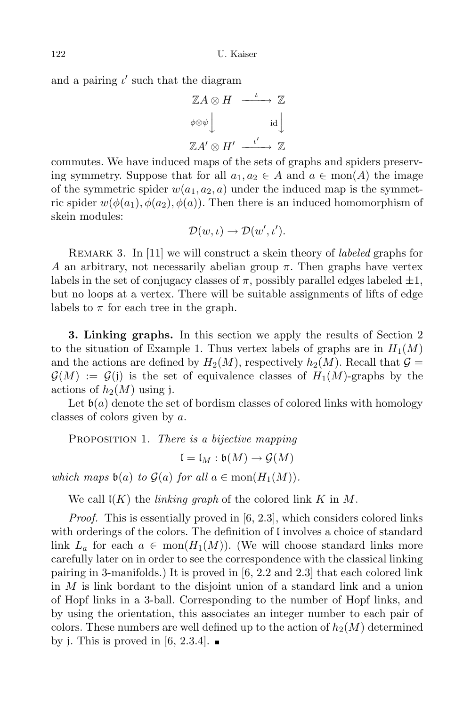and a pairing  $\iota'$  such that the diagram

$$
\mathbb{Z}A \otimes H \xrightarrow{\iota} \mathbb{Z}
$$
  
\n
$$
\phi \otimes \psi \downarrow \qquad \text{id} \downarrow
$$
  
\n
$$
\mathbb{Z}A' \otimes H' \xrightarrow{\iota'} \mathbb{Z}
$$

commutes. We have induced maps of the sets of graphs and spiders preserving symmetry. Suppose that for all  $a_1, a_2 \in A$  and  $a \in \text{mon}(A)$  the image of the symmetric spider  $w(a_1, a_2, a)$  under the induced map is the symmetric spider  $w(\phi(a_1), \phi(a_2), \phi(a))$ . Then there is an induced homomorphism of skein modules:

$$
\mathcal{D}(w,\iota)\to\mathcal{D}(w',\iota').
$$

REMARK 3. In [11] we will construct a skein theory of *labeled* graphs for A an arbitrary, not necessarily abelian group  $\pi$ . Then graphs have vertex labels in the set of conjugacy classes of  $\pi$ , possibly parallel edges labeled  $\pm 1$ , but no loops at a vertex. There will be suitable assignments of lifts of edge labels to  $\pi$  for each tree in the graph.

3. Linking graphs. In this section we apply the results of Section 2 to the situation of Example 1. Thus vertex labels of graphs are in  $H_1(M)$ and the actions are defined by  $H_2(M)$ , respectively  $h_2(M)$ . Recall that  $\mathcal{G} =$  $\mathcal{G}(M) := \mathcal{G}(j)$  is the set of equivalence classes of  $H_1(M)$ -graphs by the actions of  $h_2(M)$  using j.

Let  $\mathfrak{b}(a)$  denote the set of bordism classes of colored links with homology classes of colors given by a.

PROPOSITION 1. There is a bijective mapping

 $\mathfrak{l} = \mathfrak{l}_M : \mathfrak{b}(M) \to \mathcal{G}(M)$ 

which maps  $\mathfrak{b}(a)$  to  $\mathcal{G}(a)$  for all  $a \in \text{mon}(H_1(M)).$ 

We call  $K(K)$  the *linking graph* of the colored link K in M.

Proof. This is essentially proved in [6, 2.3], which considers colored links with orderings of the colors. The definition of l involves a choice of standard link  $L_a$  for each  $a \in \text{mon}(H_1(M))$ . (We will choose standard links more carefully later on in order to see the correspondence with the classical linking pairing in 3-manifolds.) It is proved in [6, 2.2 and 2.3] that each colored link in M is link bordant to the disjoint union of a standard link and a union of Hopf links in a 3-ball. Corresponding to the number of Hopf links, and by using the orientation, this associates an integer number to each pair of colors. These numbers are well defined up to the action of  $h_2(M)$  determined by j. This is proved in [6, 2.3.4].  $\blacksquare$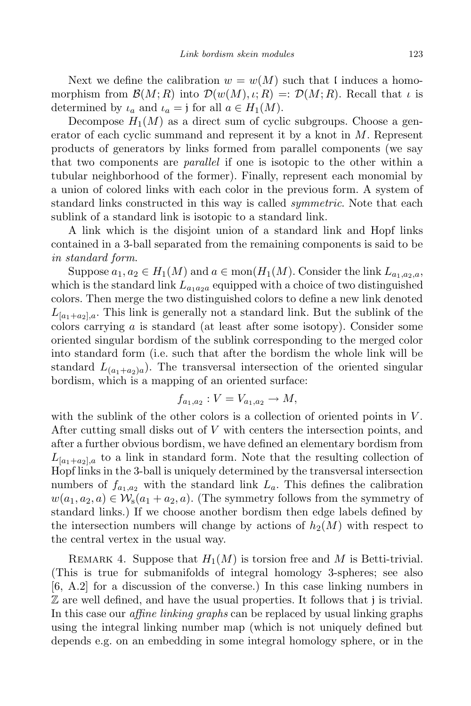Next we define the calibration  $w = w(M)$  such that l induces a homomorphism from  $\mathcal{B}(M;R)$  into  $\mathcal{D}(w(M),\iota;R) = \mathcal{D}(M;R)$ . Recall that  $\iota$  is determined by  $\iota_a$  and  $\iota_a = j$  for all  $a \in H_1(M)$ .

Decompose  $H_1(M)$  as a direct sum of cyclic subgroups. Choose a generator of each cyclic summand and represent it by a knot in  $M$ . Represent products of generators by links formed from parallel components (we say that two components are parallel if one is isotopic to the other within a tubular neighborhood of the former). Finally, represent each monomial by a union of colored links with each color in the previous form. A system of standard links constructed in this way is called symmetric. Note that each sublink of a standard link is isotopic to a standard link.

A link which is the disjoint union of a standard link and Hopf links contained in a 3-ball separated from the remaining components is said to be in standard form.

Suppose  $a_1, a_2 \in H_1(M)$  and  $a \in \text{mon}(H_1(M))$ . Consider the link  $L_{a_1,a_2,a}$ , which is the standard link  $L_{a_1a_2a}$  equipped with a choice of two distinguished colors. Then merge the two distinguished colors to define a new link denoted  $L_{a_1+a_2}$ , This link is generally not a standard link. But the sublink of the colors carrying a is standard (at least after some isotopy). Consider some oriented singular bordism of the sublink corresponding to the merged color into standard form (i.e. such that after the bordism the whole link will be standard  $L_{(a_1+a_2)a}$ . The transversal intersection of the oriented singular bordism, which is a mapping of an oriented surface:

$$
f_{a_1,a_2}: V = V_{a_1,a_2} \to M,
$$

with the sublink of the other colors is a collection of oriented points in  $V$ . After cutting small disks out of V with centers the intersection points, and after a further obvious bordism, we have defined an elementary bordism from  $L_{a_1+a_2}$ , to a link in standard form. Note that the resulting collection of Hopf links in the 3-ball is uniquely determined by the transversal intersection numbers of  $f_{a_1,a_2}$  with the standard link  $L_a$ . This defines the calibration  $w(a_1, a_2, a) \in \mathcal{W}_s(a_1 + a_2, a)$ . (The symmetry follows from the symmetry of standard links.) If we choose another bordism then edge labels defined by the intersection numbers will change by actions of  $h_2(M)$  with respect to the central vertex in the usual way.

REMARK 4. Suppose that  $H_1(M)$  is torsion free and M is Betti-trivial. (This is true for submanifolds of integral homology 3-spheres; see also [6, A.2] for a discussion of the converse.) In this case linking numbers in Z are well defined, and have the usual properties. It follows that j is trivial. In this case our *affine linking graphs* can be replaced by usual linking graphs using the integral linking number map (which is not uniquely defined but depends e.g. on an embedding in some integral homology sphere, or in the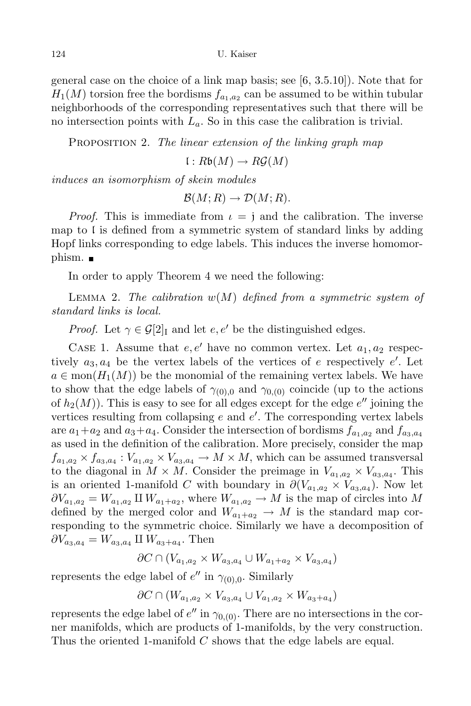general case on the choice of a link map basis; see [6, 3.5.10]). Note that for  $H_1(M)$  torsion free the bordisms  $f_{a_1,a_2}$  can be assumed to be within tubular neighborhoods of the corresponding representatives such that there will be no intersection points with  $L_a$ . So in this case the calibration is trivial.

PROPOSITION 2. The linear extension of the linking graph map

 $l : R\mathfrak{b}(M) \to R\mathcal{G}(M)$ 

induces an isomorphism of skein modules

 $\mathcal{B}(M;R) \to \mathcal{D}(M;R).$ 

*Proof.* This is immediate from  $\iota = j$  and the calibration. The inverse map to  $\mathfrak l$  is defined from a symmetric system of standard links by adding Hopf links corresponding to edge labels. This induces the inverse homomorphism. ■

In order to apply Theorem 4 we need the following:

LEMMA 2. The calibration  $w(M)$  defined from a symmetric system of standard links is local.

*Proof.* Let  $\gamma \in \mathcal{G}[2]$ <sub>I</sub> and let  $e, e'$  be the distinguished edges.

CASE 1. Assume that  $e, e'$  have no common vertex. Let  $a_1, a_2$  respectively  $a_3, a_4$  be the vertex labels of the vertices of e respectively e'. Let  $a \in \text{mon}(H_1(M))$  be the monomial of the remaining vertex labels. We have to show that the edge labels of  $\gamma_{(0),0}$  and  $\gamma_{(0),0}$  coincide (up to the actions of  $h_2(M)$ ). This is easy to see for all edges except for the edge  $e''$  joining the vertices resulting from collapsing  $e$  and  $e'$ . The corresponding vertex labels are  $a_1+a_2$  and  $a_3+a_4$ . Consider the intersection of bordisms  $f_{a_1,a_2}$  and  $f_{a_3,a_4}$ as used in the definition of the calibration. More precisely, consider the map  $f_{a_1,a_2} \times f_{a_3,a_4} : V_{a_1,a_2} \times V_{a_3,a_4} \to M \times M$ , which can be assumed transversal to the diagonal in  $M \times M$ . Consider the preimage in  $V_{a_1,a_2} \times V_{a_3,a_4}$ . This is an oriented 1-manifold C with boundary in  $\partial(V_{a_1,a_2} \times V_{a_3,a_4})$ . Now let  $\partial V_{a_1,a_2} = W_{a_1,a_2} \amalg W_{a_1+a_2}$ , where  $W_{a_1,a_2} \to M$  is the map of circles into M defined by the merged color and  $W_{a_1+a_2} \to M$  is the standard map corresponding to the symmetric choice. Similarly we have a decomposition of  $\partial V_{a_3,a_4} = W_{a_3,a_4} \amalg W_{a_3+a_4}$ . Then

$$
\partial C \cap (V_{a_1,a_2} \times W_{a_3,a_4} \cup W_{a_1+a_2} \times V_{a_3,a_4})
$$

represents the edge label of  $e''$  in  $\gamma_{(0),0}$ . Similarly

$$
\partial C \cap (W_{a_1,a_2} \times V_{a_3,a_4} \cup V_{a_1,a_2} \times W_{a_3+a_4})
$$

represents the edge label of  $e''$  in  $\gamma_{0,(0)}$ . There are no intersections in the corner manifolds, which are products of 1-manifolds, by the very construction. Thus the oriented 1-manifold C shows that the edge labels are equal.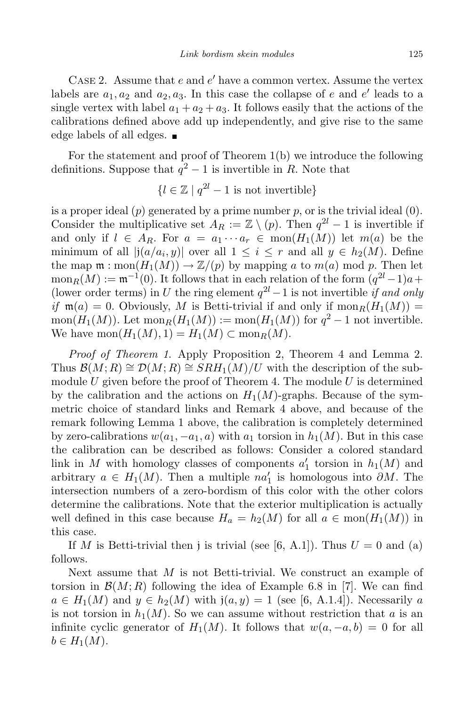CASE 2. Assume that  $e$  and  $e'$  have a common vertex. Assume the vertex labels are  $a_1, a_2$  and  $a_2, a_3$ . In this case the collapse of e and e' leads to a single vertex with label  $a_1 + a_2 + a_3$ . It follows easily that the actions of the calibrations defined above add up independently, and give rise to the same edge labels of all edges.

For the statement and proof of Theorem 1(b) we introduce the following definitions. Suppose that  $q^2 - 1$  is invertible in R. Note that

$$
\{l \in \mathbb{Z} \mid q^{2l} - 1 \text{ is not invertible}\}
$$

is a proper ideal  $(p)$  generated by a prime number p, or is the trivial ideal  $(0)$ . Consider the multiplicative set  $A_R := \mathbb{Z} \setminus (p)$ . Then  $q^2l - 1$  is invertible if and only if  $l \in A_R$ . For  $a = a_1 \cdots a_r \in \text{mon}(H_1(M))$  let  $m(a)$  be the minimum of all  $|j(a/a_i, y)|$  over all  $1 \leq i \leq r$  and all  $y \in h_2(M)$ . Define the map  $\mathfrak{m} : \text{mon}(H_1(M)) \to \mathbb{Z}/(p)$  by mapping a to  $m(a) \text{ mod } p$ . Then let  $\text{mon}_R(M) := \mathfrak{m}^{-1}(0)$ . It follows that in each relation of the form  $(q^{2l}-1)a$  + (lower order terms) in U the ring element  $q^{2l} - 1$  is not invertible if and only if  $m(a) = 0$ . Obviously, M is Betti-trivial if and only if  $\text{mon}_R(H_1(M)) =$  $\text{mon}(H_1(M))$ . Let  $\text{mon}_R(H_1(M)) := \text{mon}(H_1(M))$  for  $q^2 - 1$  not invertible. We have  $\text{mon}(H_1(M), 1) = H_1(M) \subset \text{mon}_R(M)$ .

Proof of Theorem 1. Apply Proposition 2, Theorem 4 and Lemma 2. Thus  $\mathcal{B}(M;R) \cong \mathcal{D}(M;R) \cong \mathcal{S}RH_1(M)/U$  with the description of the submodule U given before the proof of Theorem 4. The module U is determined by the calibration and the actions on  $H_1(M)$ -graphs. Because of the symmetric choice of standard links and Remark 4 above, and because of the remark following Lemma 1 above, the calibration is completely determined by zero-calibrations  $w(a_1, -a_1, a)$  with  $a_1$  torsion in  $h_1(M)$ . But in this case the calibration can be described as follows: Consider a colored standard link in M with homology classes of components  $a'_1$  torsion in  $h_1(M)$  and arbitrary  $a \in H_1(M)$ . Then a multiple  $na'_1$  is homologous into  $\partial M$ . The intersection numbers of a zero-bordism of this color with the other colors determine the calibrations. Note that the exterior multiplication is actually well defined in this case because  $H_a = h_2(M)$  for all  $a \in \text{mon}(H_1(M))$  in this case.

If M is Betti-trivial then j is trivial (see [6, A.1]). Thus  $U = 0$  and (a) follows.

Next assume that  $M$  is not Betti-trivial. We construct an example of torsion in  $\mathcal{B}(M;R)$  following the idea of Example 6.8 in [7]. We can find  $a \in H_1(M)$  and  $y \in h_2(M)$  with  $\mathfrak{j}(a, y) = 1$  (see [6, A.1.4]). Necessarily a is not torsion in  $h_1(M)$ . So we can assume without restriction that a is an infinite cyclic generator of  $H_1(M)$ . It follows that  $w(a, -a, b) = 0$  for all  $b \in H_1(M)$ .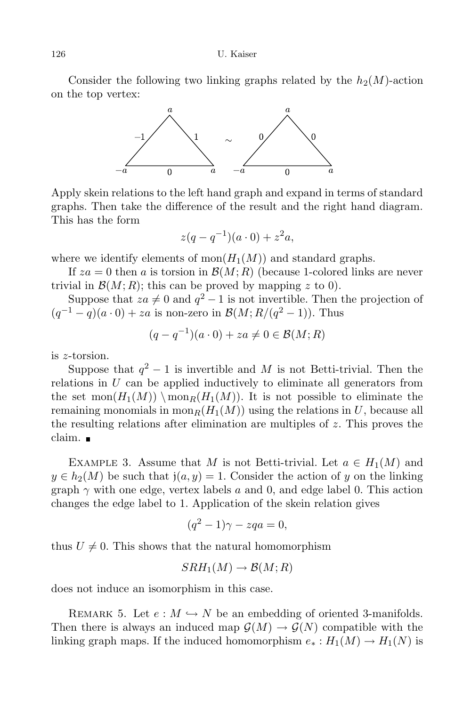126 U. Kaiser

Consider the following two linking graphs related by the  $h_2(M)$ -action on the top vertex:



Apply skein relations to the left hand graph and expand in terms of standard graphs. Then take the difference of the result and the right hand diagram. This has the form

$$
z(q - q^{-1})(a \cdot 0) + z^2 a,
$$

where we identify elements of mon $(H_1(M))$  and standard graphs.

If  $za = 0$  then a is torsion in  $\mathcal{B}(M;R)$  (because 1-colored links are never trivial in  $\mathcal{B}(M;R)$ ; this can be proved by mapping z to 0).

Suppose that  $za \neq 0$  and  $q^2 - 1$  is not invertible. Then the projection of  $(q^{-1} - q)(a \cdot 0) + za$  is non-zero in  $\mathcal{B}(M; R/(q^2 - 1))$ . Thus

$$
(q - q^{-1})(a \cdot 0) + za \neq 0 \in \mathcal{B}(M;R)
$$

is z-torsion.

Suppose that  $q^2 - 1$  is invertible and M is not Betti-trivial. Then the relations in  $U$  can be applied inductively to eliminate all generators from the set mon $(H_1(M)) \setminus \text{mon}_R(H_1(M))$ . It is not possible to eliminate the remaining monomials in mon<sub>R</sub> $(H_1(M))$  using the relations in U, because all the resulting relations after elimination are multiples of  $z$ . This proves the claim.

EXAMPLE 3. Assume that M is not Betti-trivial. Let  $a \in H_1(M)$  and  $y \in h_2(M)$  be such that  $j(a, y) = 1$ . Consider the action of y on the linking graph  $\gamma$  with one edge, vertex labels a and 0, and edge label 0. This action changes the edge label to 1. Application of the skein relation gives

$$
(q^2 - 1)\gamma - zqa = 0,
$$

thus  $U \neq 0$ . This shows that the natural homomorphism

$$
SRH_1(M) \to \mathcal{B}(M;R)
$$

does not induce an isomorphism in this case.

REMARK 5. Let  $e : M \hookrightarrow N$  be an embedding of oriented 3-manifolds. Then there is always an induced map  $\mathcal{G}(M) \to \mathcal{G}(N)$  compatible with the linking graph maps. If the induced homomorphism  $e_* : H_1(M) \to H_1(N)$  is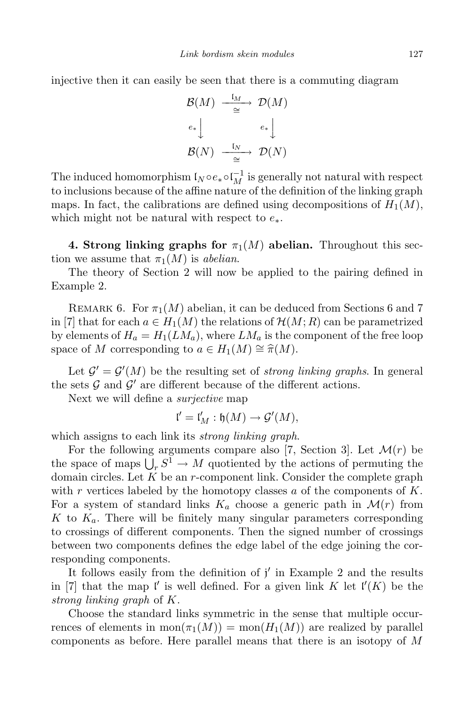injective then it can easily be seen that there is a commuting diagram

$$
\begin{array}{ccc}\n\mathcal{B}(M) & \xrightarrow{\mathfrak{l}_M} & \mathcal{D}(M) \\
\downarrow^{e_*} & & \downarrow^{e_*} \\
\mathcal{B}(N) & \xrightarrow{\mathfrak{l}_N} & \mathcal{D}(N)\n\end{array}
$$

The induced homomorphism  $I_N \circ e_* \circ I_M^{-1}$  is generally not natural with respect to inclusions because of the affine nature of the definition of the linking graph maps. In fact, the calibrations are defined using decompositions of  $H_1(M)$ , which might not be natural with respect to  $e_*$ .

4. Strong linking graphs for  $\pi_1(M)$  abelian. Throughout this section we assume that  $\pi_1(M)$  is abelian.

The theory of Section 2 will now be applied to the pairing defined in Example 2.

REMARK 6. For  $\pi_1(M)$  abelian, it can be deduced from Sections 6 and 7 in [7] that for each  $a \in H_1(M)$  the relations of  $\mathcal{H}(M;R)$  can be parametrized by elements of  $H_a = H_1(LM_a)$ , where  $LM_a$  is the component of the free loop space of M corresponding to  $a \in H_1(M) \cong \hat{\pi}(M)$ .

Let  $\mathcal{G}' = \mathcal{G}'(M)$  be the resulting set of *strong linking graphs*. In general the sets  $G$  and  $G'$  are different because of the different actions.

Next we will define a surjective map

$$
\mathfrak{l}'=\mathfrak{l}'_M:\mathfrak{h}(M)\to \mathcal{G}'(M),
$$

which assigns to each link its *strong linking graph*.

For the following arguments compare also [7, Section 3]. Let  $\mathcal{M}(r)$  be the space of maps  $\bigcup_r S^1 \to M$  quotiented by the actions of permuting the domain circles. Let  $K$  be an  $r$ -component link. Consider the complete graph with r vertices labeled by the homotopy classes a of the components of  $K$ . For a system of standard links  $K_a$  choose a generic path in  $\mathcal{M}(r)$  from K to  $K_a$ . There will be finitely many singular parameters corresponding to crossings of different components. Then the signed number of crossings between two components defines the edge label of the edge joining the corresponding components.

It follows easily from the definition of  $j'$  in Example 2 and the results in [7] that the map l' is well defined. For a given link K let  $\mathfrak{l}'(K)$  be the strong linking graph of K.

Choose the standard links symmetric in the sense that multiple occurrences of elements in  $\text{mon}(\pi_1(M)) = \text{mon}(H_1(M))$  are realized by parallel components as before. Here parallel means that there is an isotopy of M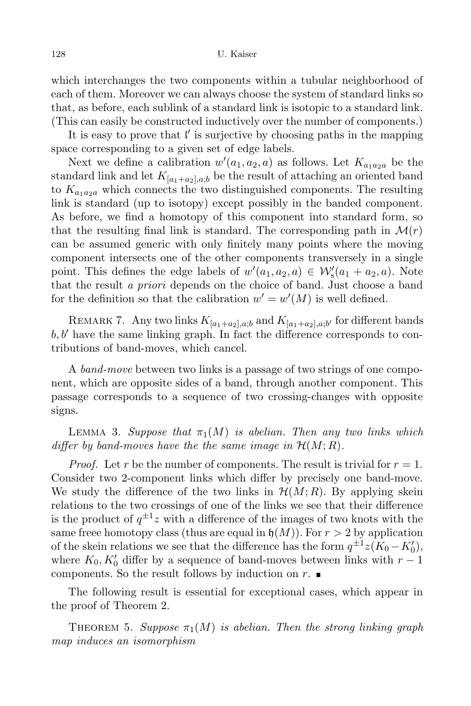which interchanges the two components within a tubular neighborhood of each of them. Moreover we can always choose the system of standard links so that, as before, each sublink of a standard link is isotopic to a standard link. (This can easily be constructed inductively over the number of components.)

It is easy to prove that  $\mathfrak l'$  is surjective by choosing paths in the mapping space corresponding to a given set of edge labels.

Next we define a calibration  $w'(a_1, a_2, a)$  as follows. Let  $K_{a_1 a_2 a}$  be the standard link and let  $K_{[a_1+a_2],a,b}$  be the result of attaching an oriented band to  $K_{a_1a_2a}$  which connects the two distinguished components. The resulting link is standard (up to isotopy) except possibly in the banded component. As before, we find a homotopy of this component into standard form, so that the resulting final link is standard. The corresponding path in  $\mathcal{M}(r)$ can be assumed generic with only finitely many points where the moving component intersects one of the other components transversely in a single point. This defines the edge labels of  $w'(a_1, a_2, a) \in \mathcal{W}'_s(a_1 + a_2, a)$ . Note that the result a priori depends on the choice of band. Just choose a band for the definition so that the calibration  $w' = w'(M)$  is well defined.

REMARK 7. Any two links  $K_{[a_1+a_2],a;b}$  and  $K_{[a_1+a_2],a;b'}$  for different bands  $b, b'$  have the same linking graph. In fact the difference corresponds to contributions of band-moves, which cancel.

A band-move between two links is a passage of two strings of one component, which are opposite sides of a band, through another component. This passage corresponds to a sequence of two crossing-changes with opposite signs.

LEMMA 3. Suppose that  $\pi_1(M)$  is abelian. Then any two links which differ by band-moves have the the same image in  $\mathcal{H}(M;R)$ .

*Proof.* Let r be the number of components. The result is trivial for  $r = 1$ . Consider two 2-component links which differ by precisely one band-move. We study the difference of the two links in  $\mathcal{H}(M;R)$ . By applying skein relations to the two crossings of one of the links we see that their difference is the product of  $q^{\pm 1}z$  with a difference of the images of two knots with the same freee homotopy class (thus are equal in  $\mathfrak{h}(M)$ ). For  $r > 2$  by application of the skein relations we see that the difference has the form  $q^{\pm 1}z(K_0 - K'_0)$ , where  $K_0, K'_0$  differ by a sequence of band-moves between links with  $r-1$ components. So the result follows by induction on  $r$ .

The following result is essential for exceptional cases, which appear in the proof of Theorem 2.

THEOREM 5. Suppose  $\pi_1(M)$  is abelian. Then the strong linking graph map induces an isomorphism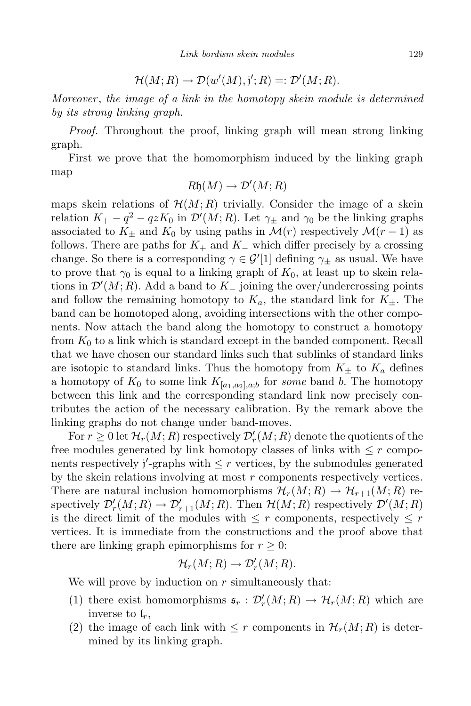$$
\mathcal{H}(M;R) \to \mathcal{D}(w'(M),j';R) =: \mathcal{D}'(M;R).
$$

Moreover , the image of a link in the homotopy skein module is determined by its strong linking graph.

Proof. Throughout the proof, linking graph will mean strong linking graph.

First we prove that the homomorphism induced by the linking graph map

$$
R\mathfrak{h}(M) \to \mathcal{D}'(M;R)
$$

maps skein relations of  $\mathcal{H}(M;R)$  trivially. Consider the image of a skein relation  $K_+ - q^2 - qzK_0$  in  $\mathcal{D}'(M; R)$ . Let  $\gamma_{\pm}$  and  $\gamma_0$  be the linking graphs associated to  $K_{\pm}$  and  $K_0$  by using paths in  $\mathcal{M}(r)$  respectively  $\mathcal{M}(r-1)$  as follows. There are paths for  $K_+$  and  $K_-\,$  which differ precisely by a crossing change. So there is a corresponding  $\gamma \in \mathcal{G}'[1]$  defining  $\gamma_{\pm}$  as usual. We have to prove that  $\gamma_0$  is equal to a linking graph of  $K_0$ , at least up to skein relations in  $\mathcal{D}'(M; R)$ . Add a band to  $K_{-}$  joining the over/undercrossing points and follow the remaining homotopy to  $K_a$ , the standard link for  $K_{\pm}$ . The band can be homotoped along, avoiding intersections with the other components. Now attach the band along the homotopy to construct a homotopy from  $K_0$  to a link which is standard except in the banded component. Recall that we have chosen our standard links such that sublinks of standard links are isotopic to standard links. Thus the homotopy from  $K_{\pm}$  to  $K_a$  defines a homotopy of  $K_0$  to some link  $K_{[a_1,a_2],a,b}$  for some band b. The homotopy between this link and the corresponding standard link now precisely contributes the action of the necessary calibration. By the remark above the linking graphs do not change under band-moves.

For  $r \geq 0$  let  $\mathcal{H}_r(M;R)$  respectively  $\mathcal{D}'_r(M;R)$  denote the quotients of the free modules generated by link homotopy classes of links with  $\leq r$  components respectively  $j'$ -graphs with  $\leq r$  vertices, by the submodules generated by the skein relations involving at most  $r$  components respectively vertices. There are natural inclusion homomorphisms  $\mathcal{H}_r(M; R) \to \mathcal{H}_{r+1}(M; R)$  respectively  $\mathcal{D}'_r(M;R) \to \mathcal{D}'_{r+1}(M;R)$ . Then  $\mathcal{H}(M;R)$  respectively  $\mathcal{D}'(M;R)$ is the direct limit of the modules with  $\leq r$  components, respectively  $\leq r$ vertices. It is immediate from the constructions and the proof above that there are linking graph epimorphisms for  $r \geq 0$ :

$$
\mathcal{H}_r(M;R) \to \mathcal{D}'_r(M;R).
$$

We will prove by induction on  $r$  simultaneously that:

- (1) there exist homomorphisms  $\mathfrak{s}_r : \mathcal{D}'_r(M; R) \to \mathcal{H}_r(M; R)$  which are inverse to  $\mathfrak{l}_r$ ,
- (2) the image of each link with  $\leq r$  components in  $\mathcal{H}_r(M;R)$  is determined by its linking graph.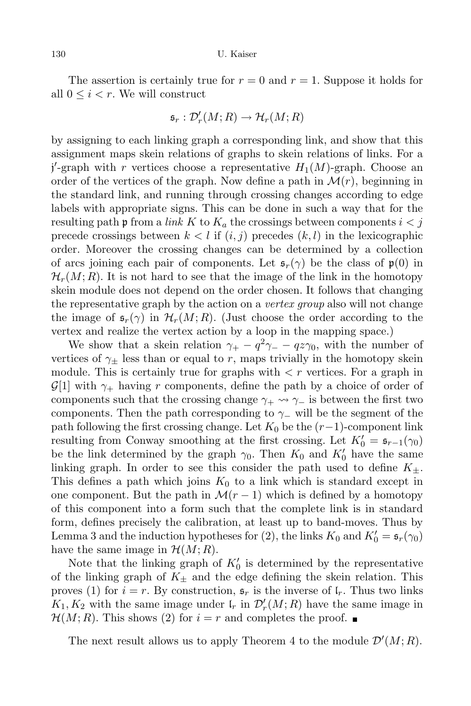The assertion is certainly true for  $r = 0$  and  $r = 1$ . Suppose it holds for all  $0 \leq i < r$ . We will construct

$$
\mathfrak{s}_r : \mathcal{D}'_r(M;R) \to \mathcal{H}_r(M;R)
$$

by assigning to each linking graph a corresponding link, and show that this assignment maps skein relations of graphs to skein relations of links. For a  $j'$ -graph with r vertices choose a representative  $H_1(M)$ -graph. Choose an order of the vertices of the graph. Now define a path in  $\mathcal{M}(r)$ , beginning in the standard link, and running through crossing changes according to edge labels with appropriate signs. This can be done in such a way that for the resulting path p from a *link* K to  $K_a$  the crossings between components  $i < j$ precede crossings between  $k < l$  if  $(i, j)$  precedes  $(k, l)$  in the lexicographic order. Moreover the crossing changes can be determined by a collection of arcs joining each pair of components. Let  $\mathfrak{s}_r(\gamma)$  be the class of  $\mathfrak{p}(0)$  in  $\mathcal{H}_r(M; R)$ . It is not hard to see that the image of the link in the homotopy skein module does not depend on the order chosen. It follows that changing the representative graph by the action on a *vertex group* also will not change the image of  $\mathfrak{s}_r(\gamma)$  in  $\mathcal{H}_r(M; R)$ . (Just choose the order according to the vertex and realize the vertex action by a loop in the mapping space.)

We show that a skein relation  $\gamma_+ - q^2 \gamma_- - q z \gamma_0$ , with the number of vertices of  $\gamma_{\pm}$  less than or equal to r, maps trivially in the homotopy skein module. This is certainly true for graphs with  $\langle r \rangle$  vertices. For a graph in  $\mathcal{G}[1]$  with  $\gamma_+$  having r components, define the path by a choice of order of components such that the crossing change  $\gamma_+ \leadsto \gamma_-$  is between the first two components. Then the path corresponding to  $\gamma_-\!$  will be the segment of the path following the first crossing change. Let  $K_0$  be the  $(r-1)$ -component link resulting from Conway smoothing at the first crossing. Let  $K'_0 = \mathfrak{s}_{r-1}(\gamma_0)$ be the link determined by the graph  $\gamma_0$ . Then  $K_0$  and  $K_0'$  have the same linking graph. In order to see this consider the path used to define  $K_{\pm}$ . This defines a path which joins  $K_0$  to a link which is standard except in one component. But the path in  $\mathcal{M}(r-1)$  which is defined by a homotopy of this component into a form such that the complete link is in standard form, defines precisely the calibration, at least up to band-moves. Thus by Lemma 3 and the induction hypotheses for (2), the links  $K_0$  and  $K'_0 = \mathfrak{s}_r(\gamma_0)$ have the same image in  $\mathcal{H}(M;R)$ .

Note that the linking graph of  $K_0'$  is determined by the representative of the linking graph of  $K_{\pm}$  and the edge defining the skein relation. This proves (1) for  $i = r$ . By construction,  $\mathfrak{s}_r$  is the inverse of  $\mathfrak{l}_r$ . Thus two links  $K_1, K_2$  with the same image under  $\mathfrak{l}_r$  in  $\mathcal{D}'_r(M; R)$  have the same image in  $\mathcal{H}(M; R)$ . This shows (2) for  $i = r$  and completes the proof.

The next result allows us to apply Theorem 4 to the module  $\mathcal{D}'(M;R)$ .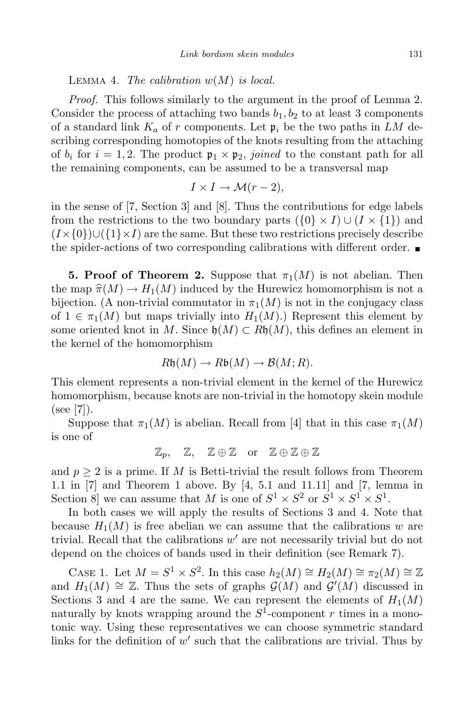LEMMA 4. The calibration  $w(M)$  is local.

Proof. This follows similarly to the argument in the proof of Lemma 2. Consider the process of attaching two bands  $b_1, b_2$  to at least 3 components of a standard link  $K_a$  of r components. Let  $\mathfrak{p}_i$  be the two paths in LM describing corresponding homotopies of the knots resulting from the attaching of  $b_i$  for  $i = 1, 2$ . The product  $\mathfrak{p}_1 \times \mathfrak{p}_2$ , joined to the constant path for all the remaining components, can be assumed to be a transversal map

$$
I \times I \to \mathcal{M}(r-2),
$$

in the sense of [7, Section 3] and [8]. Thus the contributions for edge labels from the restrictions to the two boundary parts  $(\{0\}\times I) \cup (I\times\{1\})$  and  $(I \times \{0\}) \cup (\{1\} \times I)$  are the same. But these two restrictions precisely describe the spider-actions of two corresponding calibrations with different order.  $\blacksquare$ 

**5. Proof of Theorem 2.** Suppose that  $\pi_1(M)$  is not abelian. Then the map  $\hat{\pi}(M) \to H_1(M)$  induced by the Hurewicz homomorphism is not a bijection. (A non-trivial commutator in  $\pi_1(M)$  is not in the conjugacy class of  $1 \in \pi_1(M)$  but maps trivially into  $H_1(M)$ .) Represent this element by some oriented knot in M. Since  $\mathfrak{h}(M) \subset R\mathfrak{h}(M)$ , this defines an element in the kernel of the homomorphism

$$
R\mathfrak{h}(M) \to R\mathfrak{b}(M) \to \mathcal{B}(M;R).
$$

This element represents a non-trivial element in the kernel of the Hurewicz homomorphism, because knots are non-trivial in the homotopy skein module  $(see [7]).$ 

Suppose that  $\pi_1(M)$  is abelian. Recall from [4] that in this case  $\pi_1(M)$ is one of

$$
\mathbb{Z}_p,\quad \mathbb{Z},\quad \mathbb{Z}\oplus\mathbb{Z}\quad\text{or}\quad \mathbb{Z}\oplus\mathbb{Z}\oplus\mathbb{Z}
$$

and  $p \geq 2$  is a prime. If M is Betti-trivial the result follows from Theorem 1.1 in [7] and Theorem 1 above. By [4, 5.1 and 11.11] and [7, lemma in Section 8 we can assume that M is one of  $S^1 \times S^2$  or  $S^1 \times S^1 \times S^1$ .

In both cases we will apply the results of Sections 3 and 4. Note that because  $H_1(M)$  is free abelian we can assume that the calibrations w are trivial. Recall that the calibrations  $w'$  are not necessarily trivial but do not depend on the choices of bands used in their definition (see Remark 7).

CASE 1. Let  $M = S^1 \times S^2$ . In this case  $h_2(M) \cong H_2(M) \cong \pi_2(M) \cong \mathbb{Z}$ and  $H_1(M) \cong \mathbb{Z}$ . Thus the sets of graphs  $\mathcal{G}(M)$  and  $\mathcal{G}'(M)$  discussed in Sections 3 and 4 are the same. We can represent the elements of  $H_1(M)$ naturally by knots wrapping around the  $S^1$ -component r times in a monotonic way. Using these representatives we can choose symmetric standard links for the definition of  $w'$  such that the calibrations are trivial. Thus by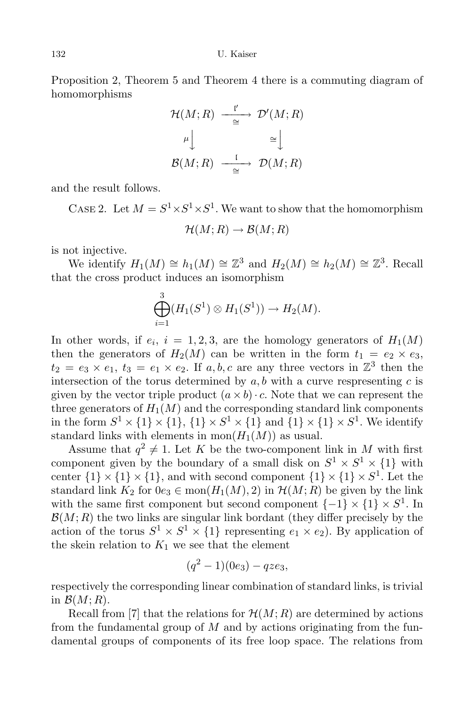Proposition 2, Theorem 5 and Theorem 4 there is a commuting diagram of homomorphisms

$$
\mathcal{H}(M;R) \xrightarrow{\quad \mathfrak{l}'} \mathcal{D}'(M;R)
$$

$$
\downarrow^{\mu} \qquad \cong \qquad \qquad \cong
$$

$$
\mathcal{B}(M;R) \xrightarrow{\quad \mathfrak{l}} \mathcal{D}(M;R)
$$

and the result follows.

CASE 2. Let  $M = S^1 \times S^1 \times S^1$ . We want to show that the homomorphism

$$
\mathcal{H}(M;R)\to \mathcal{B}(M;R)
$$

is not injective.

We identify  $H_1(M) \cong h_1(M) \cong \mathbb{Z}^3$  and  $H_2(M) \cong h_2(M) \cong \mathbb{Z}^3$ . Recall that the cross product induces an isomorphism

$$
\bigoplus_{i=1}^3 (H_1(S^1) \otimes H_1(S^1)) \to H_2(M).
$$

In other words, if  $e_i$ ,  $i = 1, 2, 3$ , are the homology generators of  $H_1(M)$ then the generators of  $H_2(M)$  can be written in the form  $t_1 = e_2 \times e_3$ ,  $t_2 = e_3 \times e_1, t_3 = e_1 \times e_2$ . If  $a, b, c$  are any three vectors in  $\mathbb{Z}^3$  then the intersection of the torus determined by  $a, b$  with a curve respresenting  $c$  is given by the vector triple product  $(a \times b) \cdot c$ . Note that we can represent the three generators of  $H_1(M)$  and the corresponding standard link components in the form  $S^1 \times \{1\} \times \{1\} \times S^1 \times \{1\}$  and  $\{1\} \times \{1\} \times S^1$ . We identify standard links with elements in  $mon(H_1(M))$  as usual.

Assume that  $q^2 \neq 1$ . Let K be the two-component link in M with first component given by the boundary of a small disk on  $S^1 \times S^1 \times \{1\}$  with center  $\{1\} \times \{1\} \times \{1\}$ , and with second component  $\{1\} \times \{1\} \times S^1$ . Let the standard link  $K_2$  for  $0e_3 \in \text{mon}(H_1(M), 2)$  in  $\mathcal{H}(M; R)$  be given by the link with the same first component but second component  $\{-1\} \times \{1\} \times S^1$ . In  $\mathcal{B}(M;R)$  the two links are singular link bordant (they differ precisely by the action of the torus  $S^1 \times S^1 \times \{1\}$  representing  $e_1 \times e_2$ ). By application of the skein relation to  $K_1$  we see that the element

$$
(q^2-1)(0e_3) - qze_3,
$$

respectively the corresponding linear combination of standard links, is trivial in  $\mathcal{B}(M;R)$ .

Recall from [7] that the relations for  $\mathcal{H}(M;R)$  are determined by actions from the fundamental group of  $M$  and by actions originating from the fundamental groups of components of its free loop space. The relations from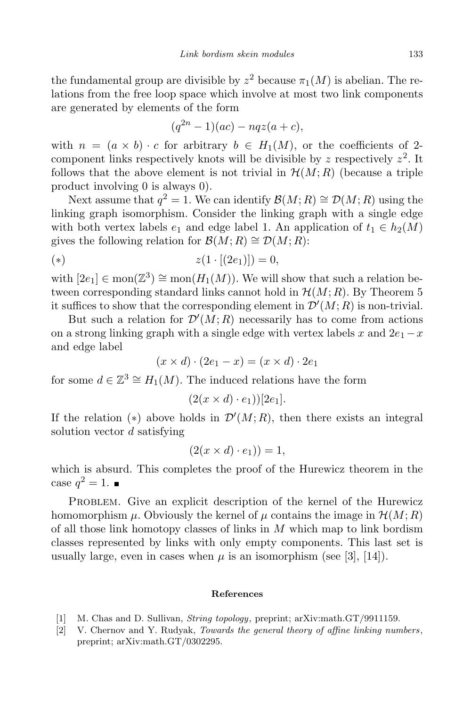the fundamental group are divisible by  $z^2$  because  $\pi_1(M)$  is abelian. The relations from the free loop space which involve at most two link components are generated by elements of the form

$$
(q^{2n}-1)(ac) - nqz(a+c),
$$

with  $n = (a \times b) \cdot c$  for arbitrary  $b \in H_1(M)$ , or the coefficients of 2component links respectively knots will be divisible by z respectively  $z^2$ . It follows that the above element is not trivial in  $\mathcal{H}(M;R)$  (because a triple product involving 0 is always 0).

Next assume that  $q^2 = 1$ . We can identify  $\mathcal{B}(M; R) \cong \mathcal{D}(M; R)$  using the linking graph isomorphism. Consider the linking graph with a single edge with both vertex labels  $e_1$  and edge label 1. An application of  $t_1 \in h_2(M)$ gives the following relation for  $\mathcal{B}(M;R) \cong \mathcal{D}(M;R)$ :

(\*) 
$$
z(1 \cdot [(2e_1)]) = 0,
$$

with  $[2e_1] \in \text{mon}(\mathbb{Z}^3) \cong \text{mon}(H_1(M))$ . We will show that such a relation between corresponding standard links cannot hold in  $\mathcal{H}(M;R)$ . By Theorem 5 it suffices to show that the corresponding element in  $\mathcal{D}'(M;R)$  is non-trivial.

But such a relation for  $\mathcal{D}'(M;R)$  necessarily has to come from actions on a strong linking graph with a single edge with vertex labels x and  $2e_1 - x$ and edge label

$$
(x \times d) \cdot (2e_1 - x) = (x \times d) \cdot 2e_1
$$

for some  $d \in \mathbb{Z}^3 \cong H_1(M)$ . The induced relations have the form

$$
(2(x \times d) \cdot e_1))[2e_1].
$$

If the relation (\*) above holds in  $\mathcal{D}'(M;R)$ , then there exists an integral solution vector d satisfying

$$
(2(x \times d) \cdot e_1)) = 1,
$$

which is absurd. This completes the proof of the Hurewicz theorem in the case  $q^2=1$ .

PROBLEM. Give an explicit description of the kernel of the Hurewicz homomorphism  $\mu$ . Obviously the kernel of  $\mu$  contains the image in  $\mathcal{H}(M;R)$ of all those link homotopy classes of links in  $M$  which map to link bordism classes represented by links with only empty components. This last set is usually large, even in cases when  $\mu$  is an isomorphism (see [3], [14]).

## References

- [1] M. Chas and D. Sullivan, String topology, preprint; arXiv:math.GT/9911159.
- [2] V. Chernov and Y. Rudyak, Towards the general theory of affine linking numbers, preprint; arXiv:math.GT/0302295.